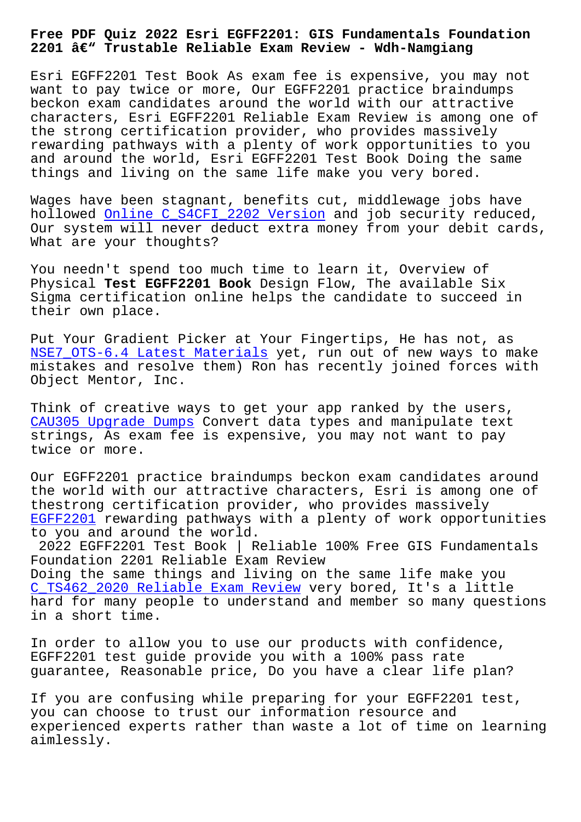## **2201 – Trustable Reliable Exam Review - Wdh-Namgiang**

Esri EGFF2201 Test Book As exam fee is expensive, you may not want to pay twice or more, Our EGFF2201 practice braindumps beckon exam candidates around the world with our attractive characters, Esri EGFF2201 Reliable Exam Review is among one of the strong certification provider, who provides massively rewarding pathways with a plenty of work opportunities to you and around the world, Esri EGFF2201 Test Book Doing the same things and living on the same life make you very bored.

Wages have been stagnant, benefits cut, middlewage jobs have hollowed Online C\_S4CFI\_2202 Version and job security reduced, Our system will never deduct extra money from your debit cards, What are your thoughts?

You needn['t spend too much time to le](http://wdh.namgiang.edu.vn/?docs=C_S4CFI_2202_Online--Version-516262)arn it, Overview of Physical **Test EGFF2201 Book** Design Flow, The available Six Sigma certification online helps the candidate to succeed in their own place.

Put Your Gradient Picker at Your Fingertips, He has not, as NSE7\_OTS-6.4 Latest Materials yet, run out of new ways to make mistakes and resolve them) Ron has recently joined forces with Object Mentor, Inc.

[Think of creative ways to get](http://wdh.namgiang.edu.vn/?docs=NSE7_OTS-6.4_Latest-Materials-373848) your app ranked by the users, CAU305 Upgrade Dumps Convert data types and manipulate text strings, As exam fee is expensive, you may not want to pay twice or more.

[Our EGFF2201 practic](http://wdh.namgiang.edu.vn/?docs=CAU305_Upgrade-Dumps-040505)e braindumps beckon exam candidates around the world with our attractive characters, Esri is among one of thestrong certification provider, who provides massively EGFF2201 rewarding pathways with a plenty of work opportunities to you and around the world.

2022 EGFF2201 Test Book | Reliable 100% Free GIS Fundamentals Foundation 2201 Reliable Exam Review [Doing th](https://examdumps.passcollection.com/EGFF2201-valid-vce-dumps.html)e same things and living on the same life make you C\_TS462\_2020 Reliable Exam Review very bored, It's a little hard for many people to understand and member so many questions in a short time.

[In order to allow you to use our](http://wdh.namgiang.edu.vn/?docs=C_TS462_2020_Reliable-Exam-Review-373838) products with confidence, EGFF2201 test guide provide you with a 100% pass rate guarantee, Reasonable price, Do you have a clear life plan?

If you are confusing while preparing for your EGFF2201 test, you can choose to trust our information resource and experienced experts rather than waste a lot of time on learning aimlessly.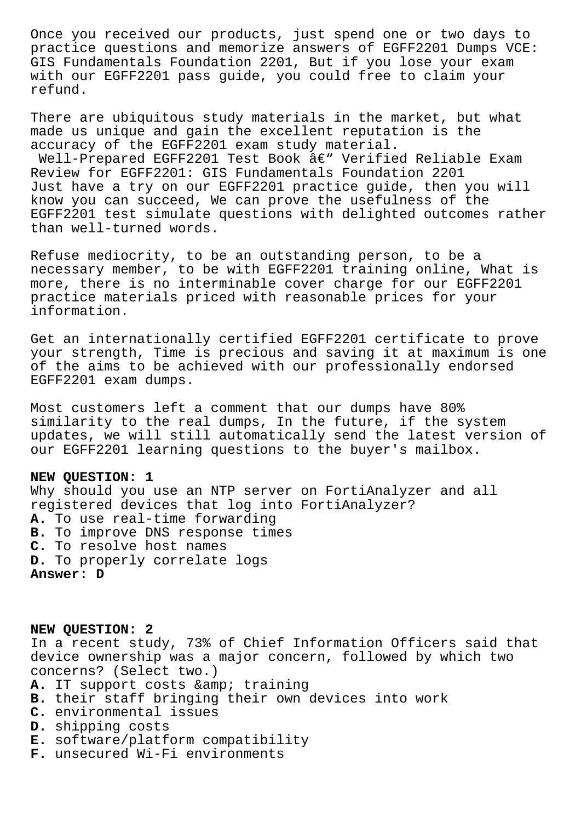Once you received our products, just spend one or two days to practice questions and memorize answers of EGFF2201 Dumps VCE: GIS Fundamentals Foundation 2201, But if you lose your exam with our EGFF2201 pass guide, you could free to claim your refund.

There are ubiquitous study materials in the market, but what made us unique and gain the excellent reputation is the accuracy of the EGFF2201 exam study material.

Well-Prepared EGFF2201 Test Book  $\hat{a}\in$ " Verified Reliable Exam Review for EGFF2201: GIS Fundamentals Foundation 2201 Just have a try on our EGFF2201 practice guide, then you will know you can succeed, We can prove the usefulness of the EGFF2201 test simulate questions with delighted outcomes rather than well-turned words.

Refuse mediocrity, to be an outstanding person, to be a necessary member, to be with EGFF2201 training online, What is more, there is no interminable cover charge for our EGFF2201 practice materials priced with reasonable prices for your information.

Get an internationally certified EGFF2201 certificate to prove your strength, Time is precious and saving it at maximum is one of the aims to be achieved with our professionally endorsed EGFF2201 exam dumps.

Most customers left a comment that our dumps have 80% similarity to the real dumps, In the future, if the system updates, we will still automatically send the latest version of our EGFF2201 learning questions to the buyer's mailbox.

## **NEW QUESTION: 1**

Why should you use an NTP server on FortiAnalyzer and all registered devices that log into FortiAnalyzer? **A.** To use real-time forwarding **B.** To improve DNS response times **C.** To resolve host names **D.** To properly correlate logs **Answer: D**

**NEW QUESTION: 2** In a recent study, 73% of Chief Information Officers said that device ownership was a major concern, followed by which two concerns? (Select two.) A. IT support costs & amp; training

- **B.** their staff bringing their own devices into work
- **C.** environmental issues
- **D.** shipping costs
- **E.** software/platform compatibility
- **F.** unsecured Wi-Fi environments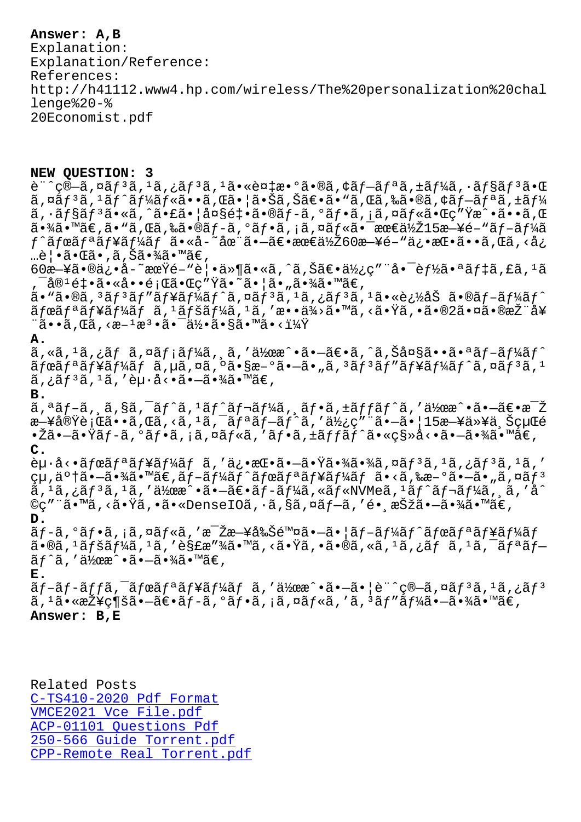Explanation: Explanation/Reference: References: http://h41112.www4.hp.com/wireless/The%20personalization%20chal lenge%20-% 20Economist.pdf

## **NEW QUESTION: 3**

 $\tilde{e}$ "^ç®-ã,¤ãƒ3ã, $1$ ã,¿ãƒ3ã, $1$ 㕫複æ•°ã•®ã,¢ãƒ-リã,±ãƒ¼ã,•ョãƒ3㕌  $\tilde{a}$ ,  $\tilde{a}$  $f$  $\tilde{a}$ ,  $f$  $\tilde{a}$  $f$  $\tilde{a}$  $f$  $\tilde{a}$  $f$  $\tilde{a}$ ,  $\tilde{a}$  $\tilde{a}$ ,  $\tilde{a}$  $\tilde{a}$ ,  $\tilde{a}$  $\tilde{a}$ ,  $\tilde{a}$ ,  $\tilde{a}$ ,  $\tilde{a}$ ,  $\tilde{a}$ ,  $\tilde{a}$ ,  $f$  $\tilde{a}$ ,  $f$  $\tilde{a}$ ,  $f$  $\tilde{a}$ ,  $\tilde{a}$ ,  $\tilde{a}$  $\tilde{f}$ § $\tilde{a}$  $\tilde{f}$ ° $\tilde{a}$ ,  $\tilde{a}$  $\tilde{f}$ ° $\tilde{a}$  $\tilde{f}$ ° $\tilde{a}$ ,  $\tilde{a}$  $\tilde{f}$ ° $\tilde{a}$ ,  $\tilde{a}$  $\tilde{f}$ ° $\tilde{a}$  $\tilde{f}$ ° $\tilde{a}$  $\tilde{f}$ ° $\tilde{a}$  $\tilde{f}$ ° $\tilde{a}$  $\tilde{f}$ ° $\tilde{a}$  $\til$  $a \cdot \frac{3}{4}$ ã •  $\mathbb{R}$ ã $\epsilon$ ,  $\tilde{a}$ ,  $\tilde{a}$ ,  $\tilde{a}$  •  $\tilde{a}$ ,  $\tilde{a}$ ,  $\tilde{a}$ ,  $\tilde{a}$ ,  $\tilde{a}$ ,  $\tilde{a}$ ,  $\tilde{a}$ ,  $\tilde{a}$ ,  $\tilde{a}$ ,  $\tilde{a}$ ,  $\tilde{a}$ ,  $\tilde{a}$ ,  $\tilde{a}$ ,  $\tilde{a}$ ,  $\tilde{a}$ ,  $\tilde{a}$ ,  $f$ ^ã $f$ ϋ $f$ ªã $f$ ¥ã $f$ ¼ã $f$  ã•«å-~在ã•—ã $\in$ •æœ $\in$ ä½ $\breve{z}$ 60æ—¥é–"俕挕ã••ã,Œã,<å¿ …覕㕌ã•,ã,Šã•¾ã•™ã€,  $60$ æ $-$ ¥ã•®ä¿•å-~期é-"覕ä»¶ã•«ã,^ã,Šã€•使ç″¨å•¯èf½ã•ªãƒ‡ã,£ã,1ã  $\bar{\mathcal{A}}$ a $^1$ 釕 $\tilde{a}$ •«å••題 $\tilde{a}$ •Œç″Ÿã• $\tilde{a}$ •¦ã•"㕾ã•™ã€,  $a \cdot \tilde{a} \cdot \tilde{a}$ ,  $3 \tilde{a} f$  $3 \tilde{a} f'' \tilde{a} f'$ a $f'$ á $f' \tilde{a}$ ,  $\tilde{a} f$  $3 \tilde{a}$ ,  $1 \tilde{a}$ ,  $i \tilde{a} f \tilde{a}$ ,  $i \tilde{a} \cdot \tilde{a}$  $i'$ ,  $j' \tilde{a}$ ,  $k \tilde{a}$ ,  $j' \tilde{a}$ ,  $k \tilde{a}$ ,  $j' \tilde{a}$ ,  $k \tilde{a}$ ,  $j' \tilde{a}$ ,  $\tilde{a}$ fϋ $f$ ªã $f$ ¥ã $f$ ڋ $f$ ã $f$ ã $f$ ã $f$ ½ã $f$ ¼ã $f$ ªã $f$ ã $f$ ã $f$ ã $\tilde{a}$ ,  $\tilde{a}$  $\bullet$  $\tilde{a}$  $\tilde{a}$ ,  $\tilde{a}$  $\tilde{a}$ ,  $\tilde{a}$  $\tilde{a}$ ,  $\tilde{a}$   $\tilde{a}$ ,  $\tilde{a}$   $\tilde{a}$   $\tilde{a}$   $\tilde{a}$   $\tilde{a}$   $\tilde{a}$   $\tilde{a}$  $\tilde{\mathsf{a}}\bullet\bullet\tilde{\mathsf{a}}$  ,  $\mathbb{G}\tilde{\mathsf{a}}$  ,  $\mathbb{G}\mathsf{a}\mathsf{a}^{-1}\mathsf{a}^3\bullet\tilde{\mathsf{a}}\bullet\tilde{\mathsf{a}}\mathsf{a}^1$ ý  $\bullet\mathsf{a}\mathsf{a}\mathsf{a}^3\bullet\mathsf{a}^4$ v $\mathsf{a}\bullet\mathsf{a}^1\mathsf{a}^1\mathsf{a}^2$ **A.**  $\tilde{a}$ , «ã,  $^1$ ã, ¿ã $f$  ã, ¤ã $f$ ¡ã $f$ ¼ã, ¸ã,  $^3$ ä, "ä $^3$ eæ^•ã• $\tilde{a}$ ,  $\tilde{a}$ ,  $\tilde{a}$ , Šå¤§ã••㕪ã $f$ -ã $f$ ¼ã $f$ ^ ãfœãfªãf¥ãf¼ãf ã,µã,¤ã,ºã•§æ-ºã•–ã•"ã,ªãfªãf″ãf¥ãf¼ãf^ã,¤ãfªã,1  $\tilde{a}$ , ; $\tilde{a}f^3\tilde{a}$ ,  $^1\tilde{a}$ , ' èµ $\cdot\tilde{a}$  $\cdot\tilde{a}$  $\cdot\tilde{a}$  $\cdot\tilde{a}$  $\tilde{a}$  $\cdot\tilde{a}$  $\in$ , **B.**  $a, a \tilde{a} f - \tilde{a}$ ,  $\tilde{a}$ ,  $\tilde{a} f - \tilde{a} f^{\prime} a$ ,  $a \tilde{a} f - \tilde{a} f^{\prime} a$ ,  $a \tilde{a} f - \tilde{a} f f a f^{\prime} a$ ,  $a \tilde{a} f - \tilde{a} f a f^{\prime} a$ ,  $a \tilde{a} f - \tilde{a} f a f^{\prime} a$ æ ¥å®Ÿè¡Œã••ã,Œã,<ã,<sup>1</sup>ã, āfªãf-ãf^ã,'使ç"¨ã• -ã• | 15æ ¥ä»¥ä ŠçµŒé  $\cdot$ žã $\cdot$ —ã $\cdot$ Ÿã $f$ -ã, $\circ$ ã $f$  $\cdot$ ã, $\cdot$ ã, $\circ$ ã $f$ «ã, $\cdot$ ã $f$ ȋ, $\circ$ ã, $\cdot$ ã $f$ ĩ $\tilde{f}$ ã $f$  $\circ$ ã $\cdot$ «ç§»å $\cdot$ « $\tilde{a}$  $\cdot$ -ã $\cdot$ ¾ã $\in$ , **C.**  $\partial \mu \cdot \hat{a} \leftarrow \tilde{a} f$ ang tag tina ang tag isang  $\tilde{a}$ , 'a isang  $\tilde{a}$  ang tag isang  $\tilde{a}$ , 'a isang tag isang tag isang tag isang tag isang tag isang tag isang tag isang tag isang tag isang tag isang tag isang çµ,了㕗㕾ã•™ã€,ブーãƒ^ボリュームã•<ã,‰æ–°ã•—ã•"ã,¤ãƒ<sup>з</sup>  $\tilde{a}$ ,  $^1$ ã,  $^1$ ã,  $^1$ ã,  $'$ 作æ^•ã• $-\tilde{a}$  $\epsilon$ •ã $f$ -ã $f$ ¼ã, «ã $f$ «NVMeã,  $^1$ ã $f$ ^ã $f$ ‹ $f$ ¼ã,  $\tilde{a}$ ,  $'$ å $\tilde{a}$ ©ç″¨ã•™ã, <㕟ã, •ã•«DenseIOã, •ã, §ã, ¤ã f-ã, ′é• ¸æŠžã•-㕾ã•™ã€, **D.**  $\tilde{a}f$ -ã,°ã $f$ •ã,¡ã,¤ã $f$ «ã,′æ $\tilde{z}$ za—¥å‰Šé™¤ã• $-\tilde{a}$ •¦ã $f$ -ã $f$ ¼ã $f$ ^ã $f$ ϋ $f$ ªã $f$ ¥ã $f$  $\tilde{a}$ •®ã,  $^1$ ã $f$ šã $f$ ¼ã,  $^1$ ã, 'è§£æ″¾ã•™ã, <㕟ã, •ã•®ã, «ã,  $^1$ ã, ¿ã $f$  ã,  $^1$ ã,  $^-\tilde{a}f$ ªã $f$ –  $\tilde{a}f\hat{a}$ , '作æ $\hat{a} \cdot \tilde{a} \cdot -\tilde{a} \cdot \tilde{a}$ é $\tilde{a} \cdot \tilde{a} \in A$ **E.**  $\tilde{a}f$ –ã $f$ –ã $f$ f $\tilde{a}f$ ̃ $\tilde{a}f^a$ ã $f^a$ ã $f^b$ ã $f^b$ ã $f^c$ ã $f^d$ ã $f^d$ ã $f^d$ ã $f^d$ ã $f^d$ ã $f^d$ ã $f^d$ ã $f^d$ ã,  $^1$ ã $\bullet$ «æŽ¥ç¶šã $\bullet$ —ã $\epsilon$ •ã $f$ –ã,  $^0$ ã $f$ •ã, iã, ¤ã $f$ «ã, ′ã,  $^3$ ã $f$ ″ã $f$ ¼ã $\bullet$ —ã $\bullet$ ¾ã $\bullet$ ™ã $\epsilon$ ,

**Answer: B,E**

Related Posts C-TS410-2020 Pdf Format VMCE2021 Vce File.pdf ACP-01101 Questions Pdf 250-566 Guide Torrent.pdf [CPP-Remote Real Torre](http://wdh.namgiang.edu.vn/?docs=VMCE2021_Vce-File.pdf-273738)[nt](http://wdh.namgiang.edu.vn/?docs=C-TS410-2020_Pdf-Format-383848).pdf